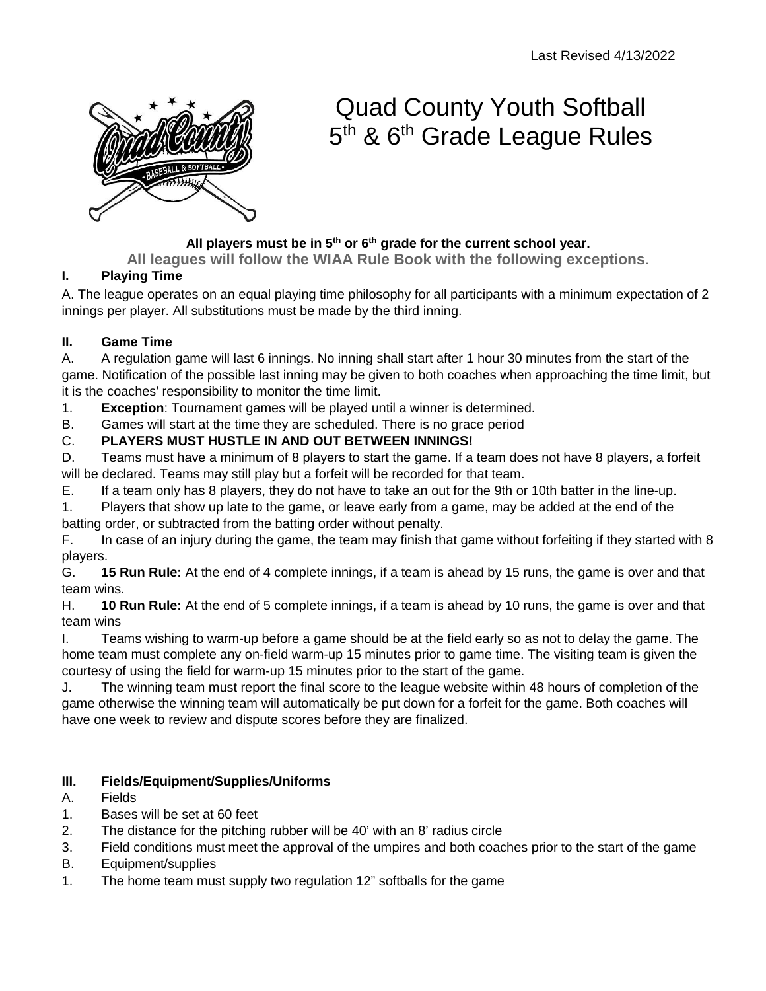

# Quad County Youth Softball 5<sup>th</sup> & 6<sup>th</sup> Grade League Rules

### **All players must be in 5th or 6th grade for the current school year.**

**All leagues will follow the WIAA Rule Book with the following exceptions**.

#### **I. Playing Time**

A. The league operates on an equal playing time philosophy for all participants with a minimum expectation of 2 innings per player. All substitutions must be made by the third inning.

#### **II. Game Time**

A. A regulation game will last 6 innings. No inning shall start after 1 hour 30 minutes from the start of the game. Notification of the possible last inning may be given to both coaches when approaching the time limit, but it is the coaches' responsibility to monitor the time limit.

1. **Exception**: Tournament games will be played until a winner is determined.

B. Games will start at the time they are scheduled. There is no grace period

#### C. **PLAYERS MUST HUSTLE IN AND OUT BETWEEN INNINGS!**

D. Teams must have a minimum of 8 players to start the game. If a team does not have 8 players, a forfeit will be declared. Teams may still play but a forfeit will be recorded for that team.

E. If a team only has 8 players, they do not have to take an out for the 9th or 10th batter in the line-up.

1. Players that show up late to the game, or leave early from a game, may be added at the end of the batting order, or subtracted from the batting order without penalty.

F. In case of an injury during the game, the team may finish that game without forfeiting if they started with 8 players.

G. **15 Run Rule:** At the end of 4 complete innings, if a team is ahead by 15 runs, the game is over and that team wins.

H. **10 Run Rule:** At the end of 5 complete innings, if a team is ahead by 10 runs, the game is over and that team wins

I. Teams wishing to warm-up before a game should be at the field early so as not to delay the game. The home team must complete any on-field warm-up 15 minutes prior to game time. The visiting team is given the courtesy of using the field for warm-up 15 minutes prior to the start of the game.

J. The winning team must report the final score to the league website within 48 hours of completion of the game otherwise the winning team will automatically be put down for a forfeit for the game. Both coaches will have one week to review and dispute scores before they are finalized.

#### **III. Fields/Equipment/Supplies/Uniforms**

- A. Fields
- 1. Bases will be set at 60 feet
- 2. The distance for the pitching rubber will be 40' with an 8' radius circle
- 3. Field conditions must meet the approval of the umpires and both coaches prior to the start of the game
- B. Equipment/supplies
- 1. The home team must supply two regulation 12" softballs for the game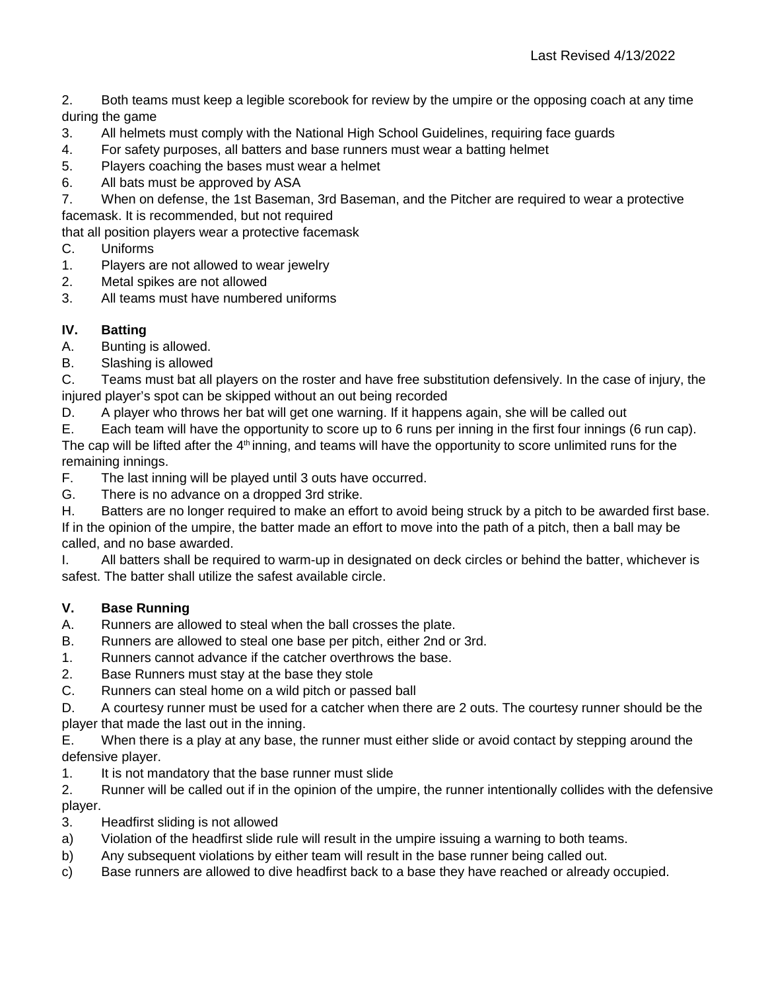2. Both teams must keep a legible scorebook for review by the umpire or the opposing coach at any time during the game

- 3. All helmets must comply with the National High School Guidelines, requiring face guards
- 4. For safety purposes, all batters and base runners must wear a batting helmet
- 5. Players coaching the bases must wear a helmet
- 6. All bats must be approved by ASA
- 7. When on defense, the 1st Baseman, 3rd Baseman, and the Pitcher are required to wear a protective facemask. It is recommended, but not required

that all position players wear a protective facemask

- C. Uniforms
- 1. Players are not allowed to wear jewelry
- 2. Metal spikes are not allowed
- 3. All teams must have numbered uniforms

# **IV. Batting**

A. Bunting is allowed.

B. Slashing is allowed

C. Teams must bat all players on the roster and have free substitution defensively. In the case of injury, the injured player's spot can be skipped without an out being recorded

D. A player who throws her bat will get one warning. If it happens again, she will be called out

E. Each team will have the opportunity to score up to 6 runs per inning in the first four innings (6 run cap). The cap will be lifted after the 4<sup>th</sup> inning, and teams will have the opportunity to score unlimited runs for the remaining innings.

F. The last inning will be played until 3 outs have occurred.

G. There is no advance on a dropped 3rd strike.

H. Batters are no longer required to make an effort to avoid being struck by a pitch to be awarded first base. If in the opinion of the umpire, the batter made an effort to move into the path of a pitch, then a ball may be called, and no base awarded.

I. All batters shall be required to warm-up in designated on deck circles or behind the batter, whichever is safest. The batter shall utilize the safest available circle.

# **V. Base Running**

A. Runners are allowed to steal when the ball crosses the plate.

- B. Runners are allowed to steal one base per pitch, either 2nd or 3rd.
- 1. Runners cannot advance if the catcher overthrows the base.
- 2. Base Runners must stay at the base they stole
- C. Runners can steal home on a wild pitch or passed ball

D. A courtesy runner must be used for a catcher when there are 2 outs. The courtesy runner should be the player that made the last out in the inning.

E. When there is a play at any base, the runner must either slide or avoid contact by stepping around the defensive player.

1. It is not mandatory that the base runner must slide

2. Runner will be called out if in the opinion of the umpire, the runner intentionally collides with the defensive player.

- 3. Headfirst sliding is not allowed
- a) Violation of the headfirst slide rule will result in the umpire issuing a warning to both teams.
- b) Any subsequent violations by either team will result in the base runner being called out.
- c) Base runners are allowed to dive headfirst back to a base they have reached or already occupied.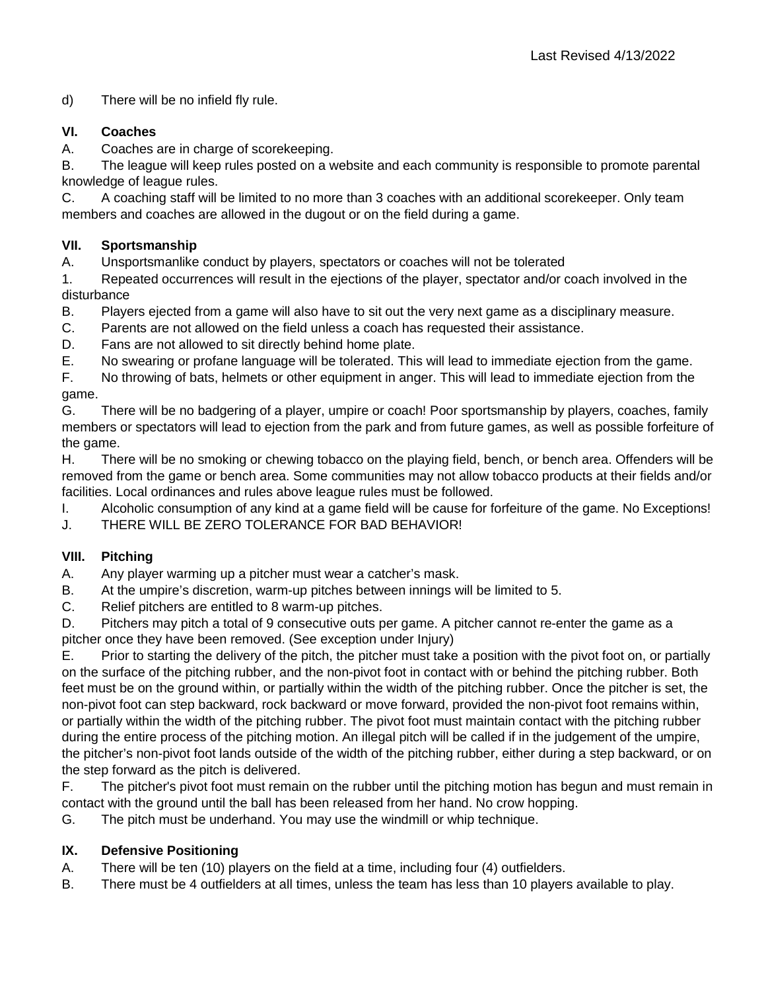d) There will be no infield fly rule.

#### **VI. Coaches**

A. Coaches are in charge of scorekeeping.

B. The league will keep rules posted on a website and each community is responsible to promote parental knowledge of league rules.

C. A coaching staff will be limited to no more than 3 coaches with an additional scorekeeper. Only team members and coaches are allowed in the dugout or on the field during a game.

#### **VII. Sportsmanship**

A. Unsportsmanlike conduct by players, spectators or coaches will not be tolerated

1. Repeated occurrences will result in the ejections of the player, spectator and/or coach involved in the disturbance

B. Players ejected from a game will also have to sit out the very next game as a disciplinary measure.

- C. Parents are not allowed on the field unless a coach has requested their assistance.
- D. Fans are not allowed to sit directly behind home plate.
- E. No swearing or profane language will be tolerated. This will lead to immediate ejection from the game.

F. No throwing of bats, helmets or other equipment in anger. This will lead to immediate ejection from the game.

G. There will be no badgering of a player, umpire or coach! Poor sportsmanship by players, coaches, family members or spectators will lead to ejection from the park and from future games, as well as possible forfeiture of the game.

H. There will be no smoking or chewing tobacco on the playing field, bench, or bench area. Offenders will be removed from the game or bench area. Some communities may not allow tobacco products at their fields and/or facilities. Local ordinances and rules above league rules must be followed.

I. Alcoholic consumption of any kind at a game field will be cause for forfeiture of the game. No Exceptions!

J. THERE WILL BE ZERO TOLERANCE FOR BAD BEHAVIOR!

# **VIII. Pitching**

A. Any player warming up a pitcher must wear a catcher's mask.

- B. At the umpire's discretion, warm-up pitches between innings will be limited to 5.
- C. Relief pitchers are entitled to 8 warm-up pitches.

D. Pitchers may pitch a total of 9 consecutive outs per game. A pitcher cannot re-enter the game as a pitcher once they have been removed. (See exception under Injury)

E. Prior to starting the delivery of the pitch, the pitcher must take a position with the pivot foot on, or partially on the surface of the pitching rubber, and the non-pivot foot in contact with or behind the pitching rubber. Both feet must be on the ground within, or partially within the width of the pitching rubber. Once the pitcher is set, the non-pivot foot can step backward, rock backward or move forward, provided the non-pivot foot remains within, or partially within the width of the pitching rubber. The pivot foot must maintain contact with the pitching rubber during the entire process of the pitching motion. An illegal pitch will be called if in the judgement of the umpire, the pitcher's non-pivot foot lands outside of the width of the pitching rubber, either during a step backward, or on the step forward as the pitch is delivered.

F. The pitcher's pivot foot must remain on the rubber until the pitching motion has begun and must remain in contact with the ground until the ball has been released from her hand. No crow hopping.

G. The pitch must be underhand. You may use the windmill or whip technique.

#### **IX. Defensive Positioning**

- A. There will be ten (10) players on the field at a time, including four (4) outfielders.
- B. There must be 4 outfielders at all times, unless the team has less than 10 players available to play.